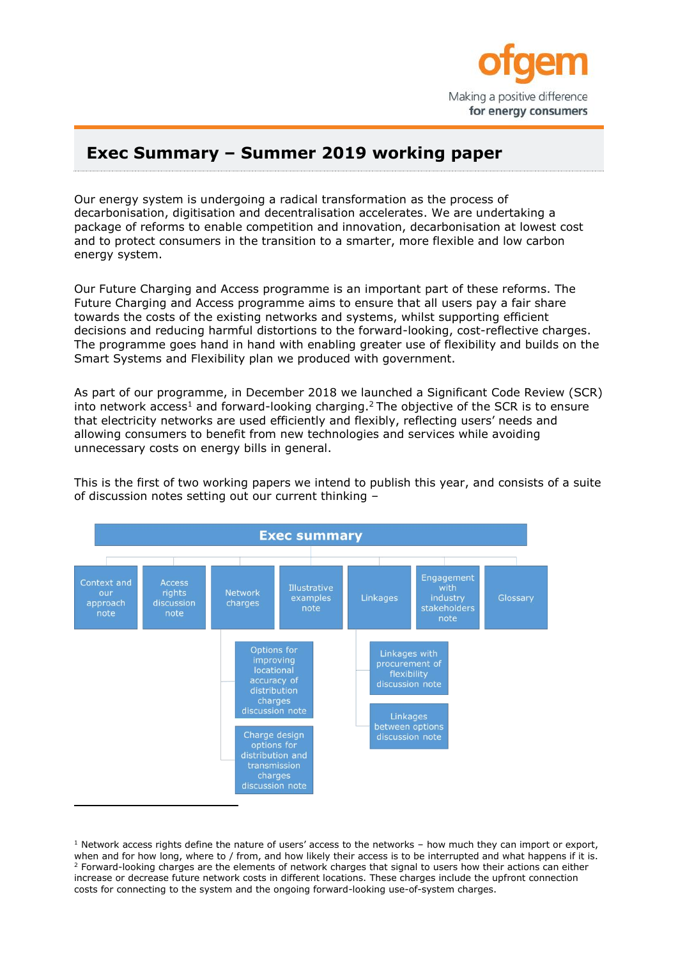

## **Exec Summary – Summer 2019 working paper**

Our energy system is undergoing a radical transformation as the process of decarbonisation, digitisation and decentralisation accelerates. We are undertaking a package of reforms to enable competition and innovation, decarbonisation at lowest cost and to protect consumers in the transition to a smarter, more flexible and low carbon energy system.

Our Future Charging and Access programme is an important part of these reforms. The Future Charging and Access programme aims to ensure that all users pay a fair share towards the costs of the existing networks and systems, whilst supporting efficient decisions and reducing harmful distortions to the forward-looking, cost-reflective charges. The programme goes hand in hand with enabling greater use of flexibility and builds on the Smart Systems and Flexibility plan we produced with government.

As part of our programme, in December 2018 we launched a Significant Code Review (SCR) into network access<sup>1</sup> and forward-looking charging.<sup>2</sup> The objective of the SCR is to ensure that electricity networks are used efficiently and flexibly, reflecting users' needs and allowing consumers to benefit from new technologies and services while avoiding unnecessary costs on energy bills in general.

This is the first of two working papers we intend to publish this year, and consists of a suite of discussion notes setting out our current thinking –



 $1$  Network access rights define the nature of users' access to the networks – how much they can import or export, when and for how long, where to / from, and how likely their access is to be interrupted and what happens if it is. <sup>2</sup> Forward-looking charges are the elements of network charges that signal to users how their actions can either increase or decrease future network costs in different locations. These charges include the upfront connection costs for connecting to the system and the ongoing forward-looking use-of-system charges.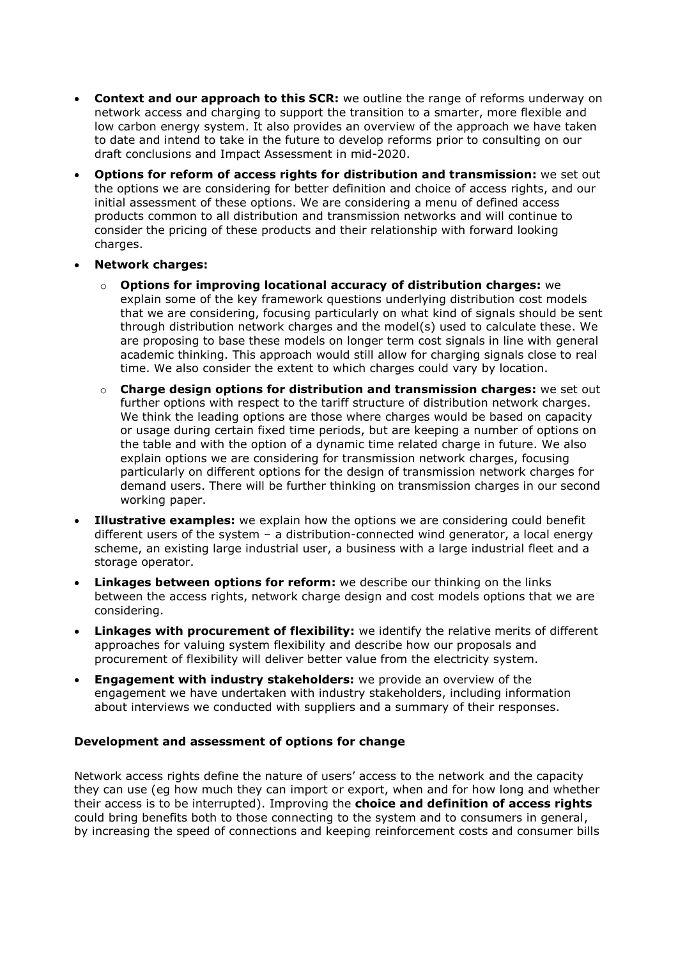- **Context and our approach to this SCR:** we outline the range of reforms underway on network access and charging to support the transition to a smarter, more flexible and low carbon energy system. It also provides an overview of the approach we have taken to date and intend to take in the future to develop reforms prior to consulting on our draft conclusions and Impact Assessment in mid-2020.
- **Options for reform of access rights for distribution and transmission:** we set out the options we are considering for better definition and choice of access rights, and our initial assessment of these options. We are considering a menu of defined access products common to all distribution and transmission networks and will continue to consider the pricing of these products and their relationship with forward looking charges.
- **Network charges:**
	- o **Options for improving locational accuracy of distribution charges:** we explain some of the key framework questions underlying distribution cost models that we are considering, focusing particularly on what kind of signals should be sent through distribution network charges and the model(s) used to calculate these. We are proposing to base these models on longer term cost signals in line with general academic thinking. This approach would still allow for charging signals close to real time. We also consider the extent to which charges could vary by location.
	- o **Charge design options for distribution and transmission charges:** we set out further options with respect to the tariff structure of distribution network charges. We think the leading options are those where charges would be based on capacity or usage during certain fixed time periods, but are keeping a number of options on the table and with the option of a dynamic time related charge in future. We also explain options we are considering for transmission network charges, focusing particularly on different options for the design of transmission network charges for demand users. There will be further thinking on transmission charges in our second working paper.
- **Illustrative examples:** we explain how the options we are considering could benefit different users of the system – a distribution-connected wind generator, a local energy scheme, an existing large industrial user, a business with a large industrial fleet and a storage operator.
- **Linkages between options for reform:** we describe our thinking on the links between the access rights, network charge design and cost models options that we are considering.
- **Linkages with procurement of flexibility:** we identify the relative merits of different approaches for valuing system flexibility and describe how our proposals and procurement of flexibility will deliver better value from the electricity system.
- **Engagement with industry stakeholders:** we provide an overview of the engagement we have undertaken with industry stakeholders, including information about interviews we conducted with suppliers and a summary of their responses.

## **Development and assessment of options for change**

Network access rights define the nature of users' access to the network and the capacity they can use (eg how much they can import or export, when and for how long and whether their access is to be interrupted). Improving the **choice and definition of access rights** could bring benefits both to those connecting to the system and to consumers in general, by increasing the speed of connections and keeping reinforcement costs and consumer bills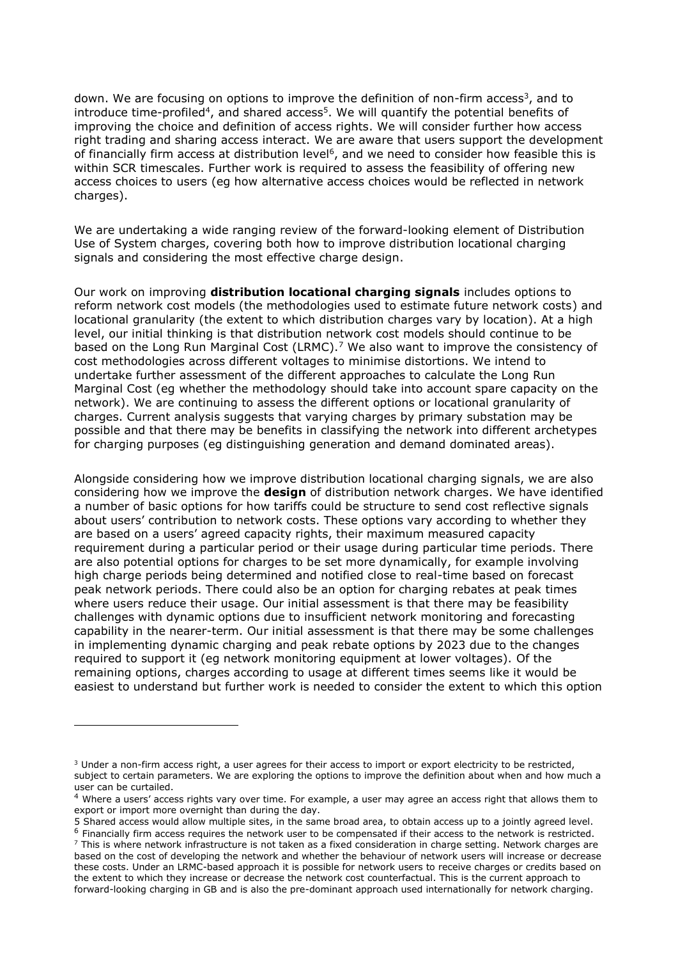down. We are focusing on options to improve the definition of non-firm access<sup>3</sup>, and to introduce time-profiled<sup>4</sup>, and shared access<sup>5</sup>. We will quantify the potential benefits of improving the choice and definition of access rights. We will consider further how access right trading and sharing access interact. We are aware that users support the development of financially firm access at distribution level<sup>6</sup>, and we need to consider how feasible this is within SCR timescales. Further work is required to assess the feasibility of offering new access choices to users (eg how alternative access choices would be reflected in network charges).

We are undertaking a wide ranging review of the forward-looking element of Distribution Use of System charges, covering both how to improve distribution locational charging signals and considering the most effective charge design.

Our work on improving **distribution locational charging signals** includes options to reform network cost models (the methodologies used to estimate future network costs) and locational granularity (the extent to which distribution charges vary by location). At a high level, our initial thinking is that distribution network cost models should continue to be based on the Long Run Marginal Cost (LRMC).<sup>7</sup> We also want to improve the consistency of cost methodologies across different voltages to minimise distortions. We intend to undertake further assessment of the different approaches to calculate the Long Run Marginal Cost (eg whether the methodology should take into account spare capacity on the network). We are continuing to assess the different options or locational granularity of charges. Current analysis suggests that varying charges by primary substation may be possible and that there may be benefits in classifying the network into different archetypes for charging purposes (eg distinguishing generation and demand dominated areas).

Alongside considering how we improve distribution locational charging signals, we are also considering how we improve the **design** of distribution network charges. We have identified a number of basic options for how tariffs could be structure to send cost reflective signals about users' contribution to network costs. These options vary according to whether they are based on a users' agreed capacity rights, their maximum measured capacity requirement during a particular period or their usage during particular time periods. There are also potential options for charges to be set more dynamically, for example involving high charge periods being determined and notified close to real-time based on forecast peak network periods. There could also be an option for charging rebates at peak times where users reduce their usage. Our initial assessment is that there may be feasibility challenges with dynamic options due to insufficient network monitoring and forecasting capability in the nearer-term. Our initial assessment is that there may be some challenges in implementing dynamic charging and peak rebate options by 2023 due to the changes required to support it (eg network monitoring equipment at lower voltages). Of the remaining options, charges according to usage at different times seems like it would be easiest to understand but further work is needed to consider the extent to which this option

ł

 $3$  Under a non-firm access right, a user agrees for their access to import or export electricity to be restricted, subject to certain parameters. We are exploring the options to improve the definition about when and how much a user can be curtailed.

<sup>&</sup>lt;sup>4</sup> Where a users' access rights vary over time. For example, a user may agree an access right that allows them to export or import more overnight than during the day.

<sup>5</sup> Shared access would allow multiple sites, in the same broad area, to obtain access up to a jointly agreed level.  $6$  Financially firm access requires the network user to be compensated if their access to the network is restricted.

 $<sup>7</sup>$  This is where network infrastructure is not taken as a fixed consideration in charge setting. Network charges are</sup> based on the cost of developing the network and whether the behaviour of network users will increase or decrease these costs. Under an LRMC-based approach it is possible for network users to receive charges or credits based on the extent to which they increase or decrease the network cost counterfactual. This is the current approach to forward-looking charging in GB and is also the pre-dominant approach used internationally for network charging.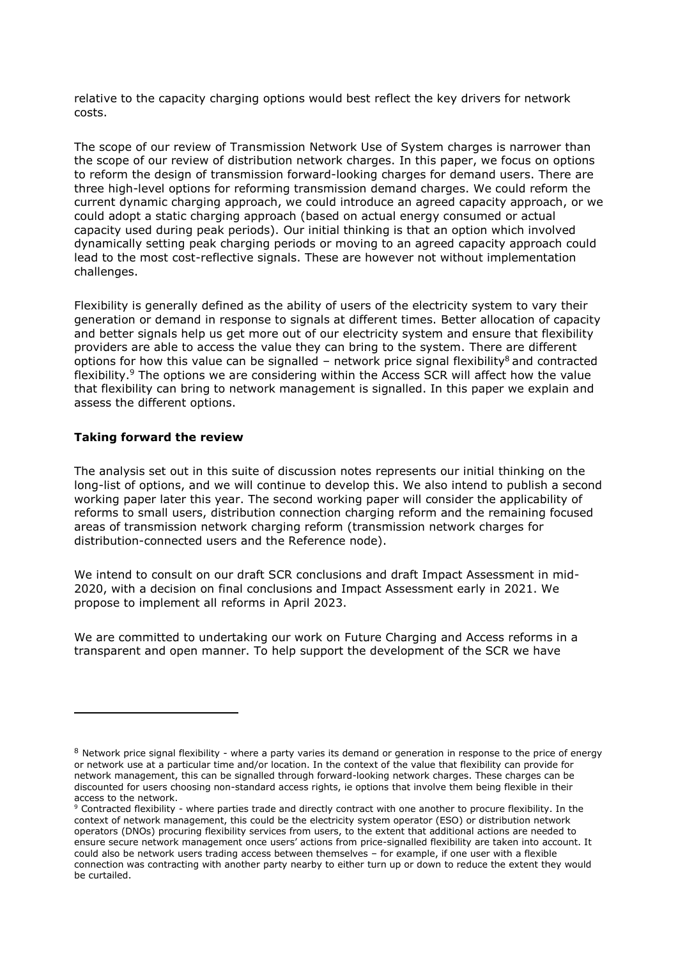relative to the capacity charging options would best reflect the key drivers for network costs.

The scope of our review of Transmission Network Use of System charges is narrower than the scope of our review of distribution network charges. In this paper, we focus on options to reform the design of transmission forward-looking charges for demand users. There are three high-level options for reforming transmission demand charges. We could reform the current dynamic charging approach, we could introduce an agreed capacity approach, or we could adopt a static charging approach (based on actual energy consumed or actual capacity used during peak periods). Our initial thinking is that an option which involved dynamically setting peak charging periods or moving to an agreed capacity approach could lead to the most cost-reflective signals. These are however not without implementation challenges.

Flexibility is generally defined as the ability of users of the electricity system to vary their generation or demand in response to signals at different times. Better allocation of capacity and better signals help us get more out of our electricity system and ensure that flexibility providers are able to access the value they can bring to the system. There are different options for how this value can be signalled – network price signal flexibility<sup>8</sup> and contracted flexibility.<sup>9</sup> The options we are considering within the Access SCR will affect how the value that flexibility can bring to network management is signalled. In this paper we explain and assess the different options.

## **Taking forward the review**

j.

The analysis set out in this suite of discussion notes represents our initial thinking on the long-list of options, and we will continue to develop this. We also intend to publish a second working paper later this year. The second working paper will consider the applicability of reforms to small users, distribution connection charging reform and the remaining focused areas of transmission network charging reform (transmission network charges for distribution-connected users and the Reference node).

We intend to consult on our draft SCR conclusions and draft Impact Assessment in mid-2020, with a decision on final conclusions and Impact Assessment early in 2021. We propose to implement all reforms in April 2023.

We are committed to undertaking our work on Future Charging and Access reforms in a transparent and open manner. To help support the development of the SCR we have

<sup>8</sup> Network price signal flexibility - where a party varies its demand or generation in response to the price of energy or network use at a particular time and/or location. In the context of the value that flexibility can provide for network management, this can be signalled through forward-looking network charges. These charges can be discounted for users choosing non-standard access rights, ie options that involve them being flexible in their access to the network.

<sup>9</sup> Contracted flexibility - where parties trade and directly contract with one another to procure flexibility. In the context of network management, this could be the electricity system operator (ESO) or distribution network operators (DNOs) procuring flexibility services from users, to the extent that additional actions are needed to ensure secure network management once users' actions from price-signalled flexibility are taken into account. It could also be network users trading access between themselves – for example, if one user with a flexible connection was contracting with another party nearby to either turn up or down to reduce the extent they would be curtailed.